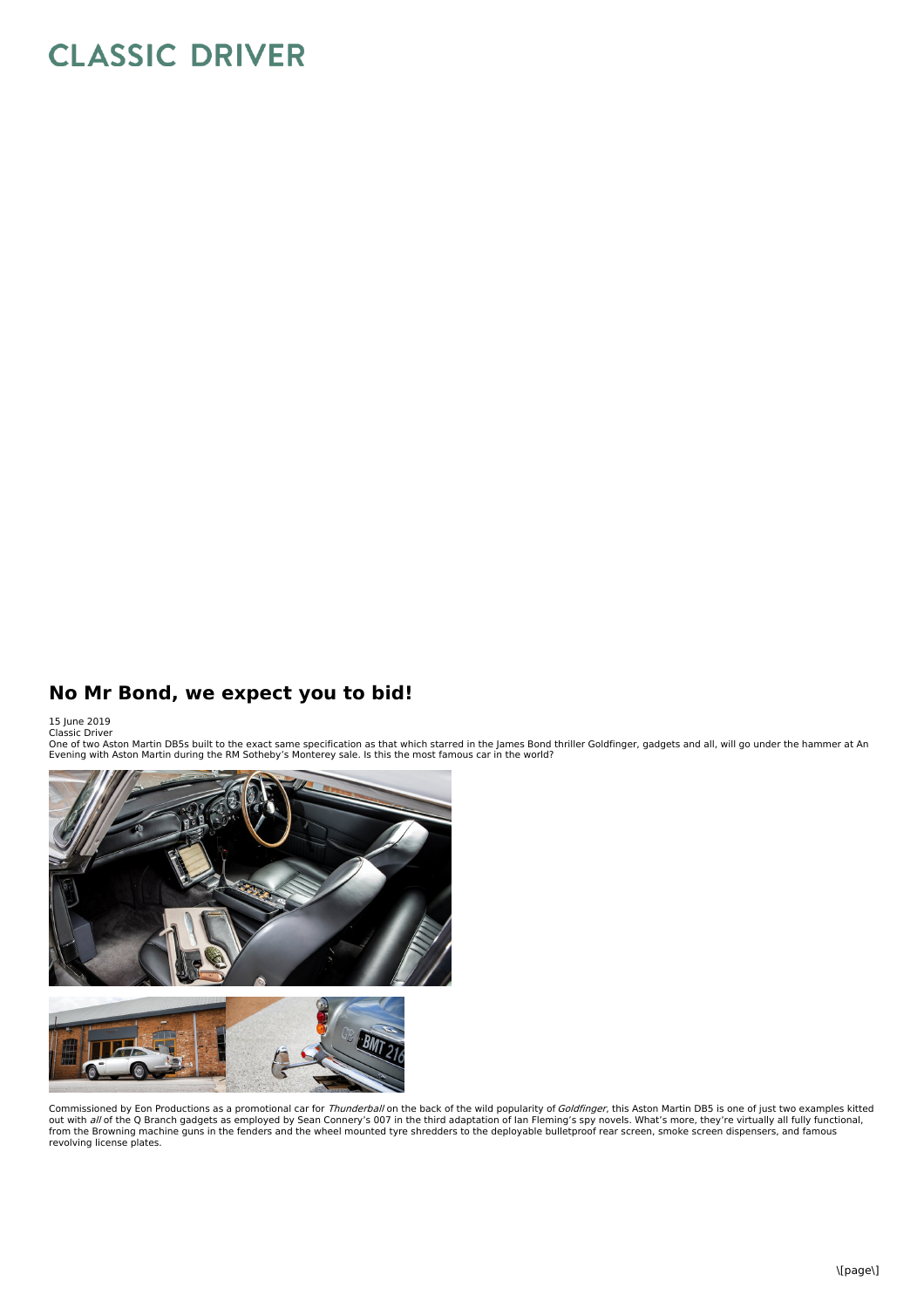## **CLASSIC DRIVER**

## **No Mr Bond, we expect you to bid!**

15 June 2019 Classic Driver

One of two Aston Martin DB5s built to the exact same specification as that which starred in the James Bond thriller Goldfinger, gadgets and all, will go under the hammer at An<br>Evening with Aston Martin during the RM Sotheb



Commissioned by Eon Productions as a promotional car for *Thunderball* on the back of the wild popularity of *Goldfinger*, this Aston Martin DB5 is one of just two examples kitted<br>out with *all* of the Q Branch gadgets as